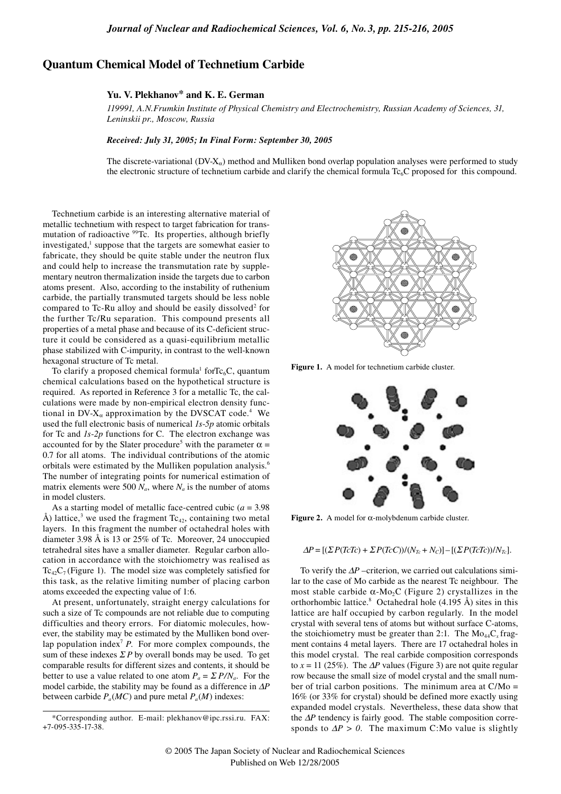# **Quantum Chemical Model of Technetium Carbide**

# **Yu. V. Plekhanov\* and K. E. German**

*119991, A.N.Frumkin Institute of Physical Chemistry and Electrochemistry, Russian Academy of Sciences, 31, Leninskii pr., Moscow, Russia*

### *Received: July 31, 2005; In Final Form: September 30, 2005*

The discrete-variational ( $DV-X<sub>α</sub>$ ) method and Mulliken bond overlap population analyses were performed to study the electronic structure of technetium carbide and clarify the chemical formula Tc<sub>6</sub>C proposed for this compound.

Technetium carbide is an interesting alternative material of metallic technetium with respect to target fabrication for transmutation of radioactive  $99$ Tc. Its properties, although briefly investigated,<sup>1</sup> suppose that the targets are somewhat easier to fabricate, they should be quite stable under the neutron flux and could help to increase the transmutation rate by supplementary neutron thermalization inside the targets due to carbon atoms present. Also, according to the instability of ruthenium carbide, the partially transmuted targets should be less noble compared to Tc-Ru alloy and should be easily dissolved<sup>2</sup> for the further Tc/Ru separation. This compound presents all properties of a metal phase and because of its C-deficient structure it could be considered as a quasi-equilibrium metallic phase stabilized with C-impurity, in contrast to the well-known hexagonal structure of Tc metal.

To clarify a proposed chemical formula<sup>1</sup> for $Tc_6C$ , quantum chemical calculations based on the hypothetical structure is required. As reported in Reference 3 for a metallic Tc, the calculations were made by non-empirical electron density functional in  $DV-X_\alpha$  approximation by the DVSCAT code.<sup>4</sup> We used the full electronic basis of numerical *1s*-*5p* atomic orbitals for Tc and *1s*-*2p* functions for C. The electron exchange was accounted for by the Slater procedure<sup>5</sup> with the parameter  $\alpha =$ 0.7 for all atoms. The individual contributions of the atomic orbitals were estimated by the Mulliken population analysis.6 The number of integrating points for numerical estimation of matrix elements were 500  $N_a$ , where  $N_a$  is the number of atoms in model clusters.

As a starting model of metallic face-centred cubic (*a* = 3.98 Å) lattice,<sup>3</sup> we used the fragment  $Tc_{42}$ , containing two metal layers. In this fragment the number of octahedral holes with diameter 3.98 Å is 13 or 25% of Tc. Moreover, 24 unoccupied tetrahedral sites have a smaller diameter. Regular carbon allocation in accordance with the stoichiometry was realised as  $Tc_{42}C_7$  (Figure 1). The model size was completely satisfied for this task, as the relative limiting number of placing carbon atoms exceeded the expecting value of 1:6.

At present, unfortunately, straight energy calculations for such a size of Tc compounds are not reliable due to computing difficulties and theory errors. For diatomic molecules, however, the stability may be estimated by the Mulliken bond overlap population index<sup>7</sup> *P*. For more complex compounds, the sum of these indexes  $\sum P$  by overall bonds may be used. To get comparable results for different sizes and contents, it should be better to use a value related to one atom  $P_a = \sum P/N_a$ . For the model carbide, the stability may be found as a difference in ∆*P* between carbide  $P_a(MC)$  and pure metal  $P_a(M)$  indexes:



**Figure 1.** A model for technetium carbide cluster.



**Figure 2.** A model for α-molybdenum carbide cluster.

### $\Delta P = [(\Sigma P(TcTc) + \Sigma P(TcC))/(N_{Tc} + N_c)] - [(\Sigma P(TcTc))/N_{Tc}]$ .

To verify the ∆*P* –criterion, we carried out calculations similar to the case of Mo carbide as the nearest Tc neighbour. The most stable carbide  $\alpha$ -Mo<sub>2</sub>C (Figure 2) crystallizes in the orthorhombic lattice.<sup>8</sup> Octahedral hole  $(4.195 \text{ Å})$  sites in this lattice are half occupied by carbon regularly. In the model crystal with several tens of atoms but without surface C-atoms, the stoichiometry must be greater than 2:1. The  $Mo_{44}C_{x}$  fragment contains 4 metal layers. There are 17 octahedral holes in this model crystal. The real carbide composition corresponds to  $x = 11$  (25%). The  $\Delta P$  values (Figure 3) are not quite regular row because the small size of model crystal and the small number of trial carbon positions. The minimum area at  $C/Mo =$ 16% (or 33% for crystal) should be defined more exactly using expanded model crystals. Nevertheless, these data show that the ∆*P* tendency is fairly good. The stable composition corresponds to  $\Delta P > 0$ . The maximum C:Mo value is slightly

<sup>\*</sup>Corresponding author. E-mail: plekhanov@ipc.rssi.ru. FAX: +7-095-335-17-38.